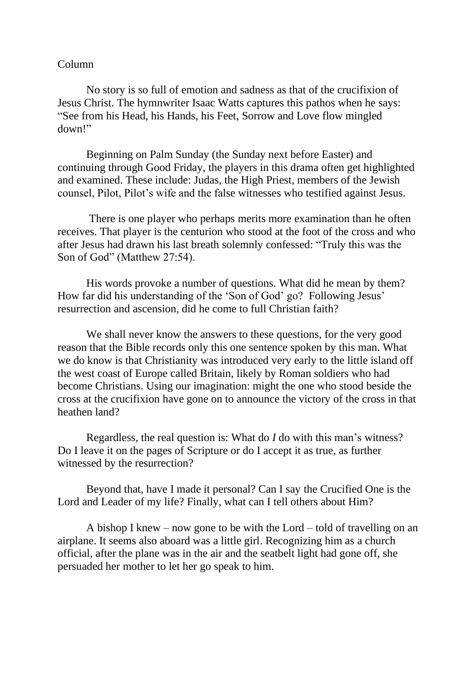## Column

No story is so full of emotion and sadness as that of the crucifixion of Jesus Christ. The hymnwriter Isaac Watts captures this pathos when he says: "See from his Head, his Hands, his Feet, Sorrow and Love flow mingled down!"

Beginning on Palm Sunday (the Sunday next before Easter) and continuing through Good Friday, the players in this drama often get highlighted and examined. These include: Judas, the High Priest, members of the Jewish counsel, Pilot, Pilot's wife and the false witnesses who testified against Jesus.

There is one player who perhaps merits more examination than he often receives. That player is the centurion who stood at the foot of the cross and who after Jesus had drawn his last breath solemnly confessed: "Truly this was the Son of God" (Matthew 27:54).

His words provoke a number of questions. What did he mean by them? How far did his understanding of the 'Son of God' go? Following Jesus' resurrection and ascension, did he come to full Christian faith?

We shall never know the answers to these questions, for the very good reason that the Bible records only this one sentence spoken by this man. What we do know is that Christianity was introduced very early to the little island off the west coast of Europe called Britain, likely by Roman soldiers who had become Christians. Using our imagination: might the one who stood beside the cross at the crucifixion have gone on to announce the victory of the cross in that heathen land?

Regardless, the real question is: What do *I* do with this man's witness? Do I leave it on the pages of Scripture or do I accept it as true, as further witnessed by the resurrection?

Beyond that, have I made it personal? Can I say the Crucified One is the Lord and Leader of my life? Finally, what can I tell others about Him?

A bishop I knew – now gone to be with the Lord – told of travelling on an airplane. It seems also aboard was a little girl. Recognizing him as a church official, after the plane was in the air and the seatbelt light had gone off, she persuaded her mother to let her go speak to him.